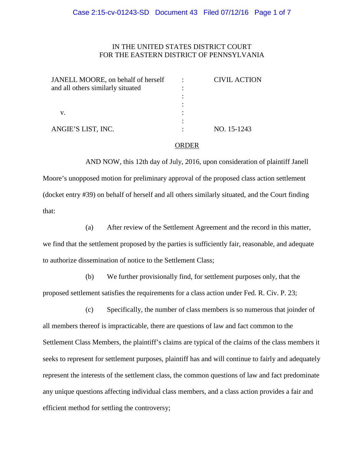# IN THE UNITED STATES DISTRICT COURT FOR THE EASTERN DISTRICT OF PENNSYLVANIA

| JANELL MOORE, on behalf of herself<br>and all others similarly situated<br>V. | <b>CIVIL ACTION</b> |
|-------------------------------------------------------------------------------|---------------------|
|                                                                               |                     |
|                                                                               |                     |
| ANGIE'S LIST, INC.                                                            | NO. 15-1243         |

#### ORDER

AND NOW, this 12th day of July, 2016, upon consideration of plaintiff Janell Moore's unopposed motion for preliminary approval of the proposed class action settlement (docket entry #39) on behalf of herself and all others similarly situated, and the Court finding that:

(a) After review of the Settlement Agreement and the record in this matter, we find that the settlement proposed by the parties is sufficiently fair, reasonable, and adequate to authorize dissemination of notice to the Settlement Class;

(b) We further provisionally find, for settlement purposes only, that the proposed settlement satisfies the requirements for a class action under Fed. R. Civ. P. 23;

(c) Specifically, the number of class members is so numerous that joinder of all members thereof is impracticable, there are questions of law and fact common to the Settlement Class Members, the plaintiff's claims are typical of the claims of the class members it seeks to represent for settlement purposes, plaintiff has and will continue to fairly and adequately represent the interests of the settlement class, the common questions of law and fact predominate any unique questions affecting individual class members, and a class action provides a fair and efficient method for settling the controversy;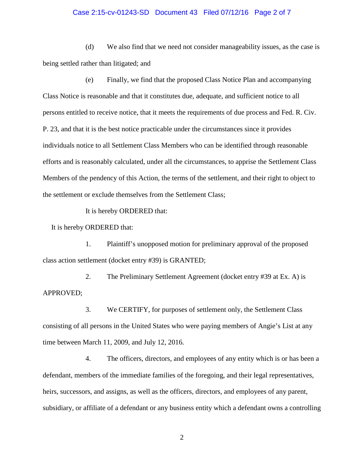## Case 2:15-cv-01243-SD Document 43 Filed 07/12/16 Page 2 of 7

(d) We also find that we need not consider manageability issues, as the case is being settled rather than litigated; and

(e) Finally, we find that the proposed Class Notice Plan and accompanying Class Notice is reasonable and that it constitutes due, adequate, and sufficient notice to all persons entitled to receive notice, that it meets the requirements of due process and Fed. R. Civ. P. 23, and that it is the best notice practicable under the circumstances since it provides individuals notice to all Settlement Class Members who can be identified through reasonable efforts and is reasonably calculated, under all the circumstances, to apprise the Settlement Class Members of the pendency of this Action, the terms of the settlement, and their right to object to the settlement or exclude themselves from the Settlement Class;

It is hereby ORDERED that:

It is hereby ORDERED that:

1. Plaintiff's unopposed motion for preliminary approval of the proposed class action settlement (docket entry #39) is GRANTED;

2. The Preliminary Settlement Agreement (docket entry #39 at Ex. A) is APPROVED;

3. We CERTIFY, for purposes of settlement only, the Settlement Class consisting of all persons in the United States who were paying members of Angie's List at any time between March 11, 2009, and July 12, 2016.

4. The officers, directors, and employees of any entity which is or has been a defendant, members of the immediate families of the foregoing, and their legal representatives, heirs, successors, and assigns, as well as the officers, directors, and employees of any parent, subsidiary, or affiliate of a defendant or any business entity which a defendant owns a controlling

2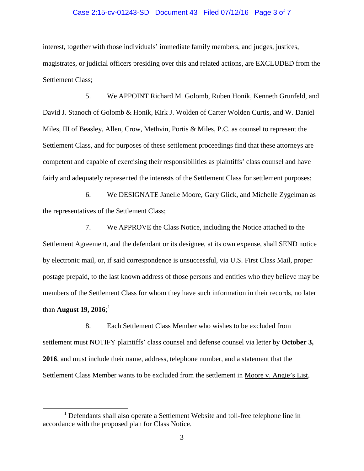## Case 2:15-cv-01243-SD Document 43 Filed 07/12/16 Page 3 of 7

interest, together with those individuals' immediate family members, and judges, justices, magistrates, or judicial officers presiding over this and related actions, are EXCLUDED from the Settlement Class;

5. We APPOINT Richard M. Golomb, Ruben Honik, Kenneth Grunfeld, and David J. Stanoch of Golomb & Honik, Kirk J. Wolden of Carter Wolden Curtis, and W. Daniel Miles, III of Beasley, Allen, Crow, Methvin, Portis & Miles, P.C. as counsel to represent the Settlement Class, and for purposes of these settlement proceedings find that these attorneys are competent and capable of exercising their responsibilities as plaintiffs' class counsel and have fairly and adequately represented the interests of the Settlement Class for settlement purposes;

6. We DESIGNATE Janelle Moore, Gary Glick, and Michelle Zygelman as the representatives of the Settlement Class;

7. We APPROVE the Class Notice, including the Notice attached to the Settlement Agreement, and the defendant or its designee, at its own expense, shall SEND notice by electronic mail, or, if said correspondence is unsuccessful, via U.S. First Class Mail, proper postage prepaid, to the last known address of those persons and entities who they believe may be members of the Settlement Class for whom they have such information in their records, no later than **August 19, 2016**; [1](#page-2-0)

8. Each Settlement Class Member who wishes to be excluded from settlement must NOTIFY plaintiffs' class counsel and defense counsel via letter by **October 3, 2016**, and must include their name, address, telephone number, and a statement that the Settlement Class Member wants to be excluded from the settlement in Moore v. Angie's List,

<span id="page-2-0"></span><sup>&</sup>lt;sup>1</sup> Defendants shall also operate a Settlement Website and toll-free telephone line in accordance with the proposed plan for Class Notice.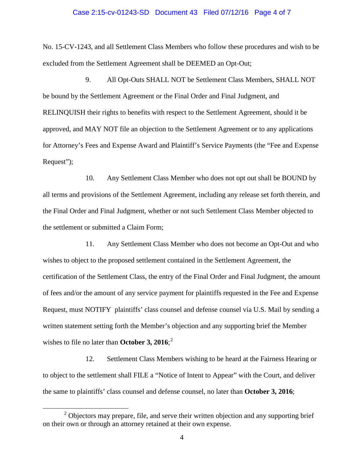## Case 2:15-cv-01243-SD Document 43 Filed 07/12/16 Page 4 of 7

No. 15-CV-1243, and all Settlement Class Members who follow these procedures and wish to be excluded from the Settlement Agreement shall be DEEMED an Opt-Out;

9. All Opt-Outs SHALL NOT be Settlement Class Members, SHALL NOT be bound by the Settlement Agreement or the Final Order and Final Judgment, and RELINQUISH their rights to benefits with respect to the Settlement Agreement, should it be approved, and MAY NOT file an objection to the Settlement Agreement or to any applications for Attorney's Fees and Expense Award and Plaintiff's Service Payments (the "Fee and Expense Request");

10. Any Settlement Class Member who does not opt out shall be BOUND by all terms and provisions of the Settlement Agreement, including any release set forth therein, and the Final Order and Final Judgment, whether or not such Settlement Class Member objected to the settlement or submitted a Claim Form;

11. Any Settlement Class Member who does not become an Opt-Out and who wishes to object to the proposed settlement contained in the Settlement Agreement, the certification of the Settlement Class, the entry of the Final Order and Final Judgment, the amount of fees and/or the amount of any service payment for plaintiffs requested in the Fee and Expense Request, must NOTIFY plaintiffs' class counsel and defense counsel via U.S. Mail by sending a written statement setting forth the Member's objection and any supporting brief the Member wishes to file no later than **October 3, 2016**; [2](#page-3-0)

12. Settlement Class Members wishing to be heard at the Fairness Hearing or to object to the settlement shall FILE a "Notice of Intent to Appear" with the Court, and deliver the same to plaintiffs' class counsel and defense counsel, no later than **October 3, 2016**;

<span id="page-3-0"></span> $2$  Objectors may prepare, file, and serve their written objection and any supporting brief on their own or through an attorney retained at their own expense.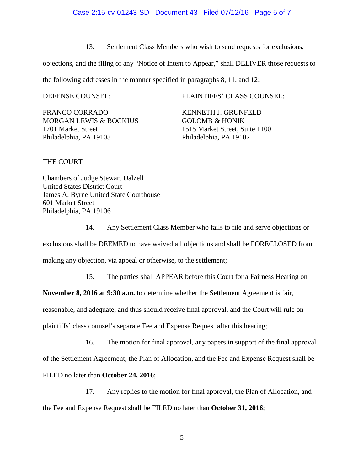13. Settlement Class Members who wish to send requests for exclusions,

objections, and the filing of any "Notice of Intent to Appear," shall DELIVER those requests to

the following addresses in the manner specified in paragraphs 8, 11, and 12:

FRANCO CORRADO KENNETH J. GRUNFELD MORGAN LEWIS & BOCKIUS GOLOMB & HONIK 1701 Market Street 1515 Market Street, Suite 1100 Philadelphia, PA 19103 Philadelphia, PA 19102

DEFENSE COUNSEL: PLAINTIFFS' CLASS COUNSEL:

THE COURT

Chambers of Judge Stewart Dalzell United States District Court James A. Byrne United State Courthouse 601 Market Street Philadelphia, PA 19106

14. Any Settlement Class Member who fails to file and serve objections or

exclusions shall be DEEMED to have waived all objections and shall be FORECLOSED from

making any objection, via appeal or otherwise, to the settlement;

15. The parties shall APPEAR before this Court for a Fairness Hearing on

**November 8, 2016 at 9:30 a.m.** to determine whether the Settlement Agreement is fair,

reasonable, and adequate, and thus should receive final approval, and the Court will rule on

plaintiffs' class counsel's separate Fee and Expense Request after this hearing;

16. The motion for final approval, any papers in support of the final approval of the Settlement Agreement, the Plan of Allocation, and the Fee and Expense Request shall be FILED no later than **October 24, 2016**;

17. Any replies to the motion for final approval, the Plan of Allocation, and the Fee and Expense Request shall be FILED no later than **October 31, 2016**;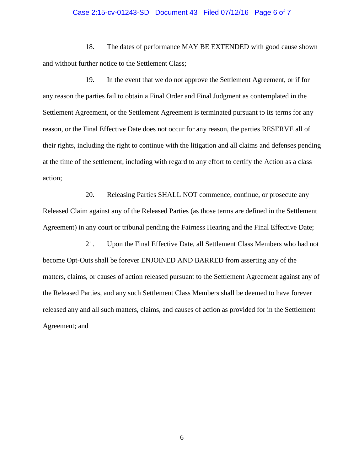#### Case 2:15-cv-01243-SD Document 43 Filed 07/12/16 Page 6 of 7

18. The dates of performance MAY BE EXTENDED with good cause shown and without further notice to the Settlement Class;

19. In the event that we do not approve the Settlement Agreement, or if for any reason the parties fail to obtain a Final Order and Final Judgment as contemplated in the Settlement Agreement, or the Settlement Agreement is terminated pursuant to its terms for any reason, or the Final Effective Date does not occur for any reason, the parties RESERVE all of their rights, including the right to continue with the litigation and all claims and defenses pending at the time of the settlement, including with regard to any effort to certify the Action as a class action;

20. Releasing Parties SHALL NOT commence, continue, or prosecute any Released Claim against any of the Released Parties (as those terms are defined in the Settlement Agreement) in any court or tribunal pending the Fairness Hearing and the Final Effective Date;

21. Upon the Final Effective Date, all Settlement Class Members who had not become Opt-Outs shall be forever ENJOINED AND BARRED from asserting any of the matters, claims, or causes of action released pursuant to the Settlement Agreement against any of the Released Parties, and any such Settlement Class Members shall be deemed to have forever released any and all such matters, claims, and causes of action as provided for in the Settlement Agreement; and

6